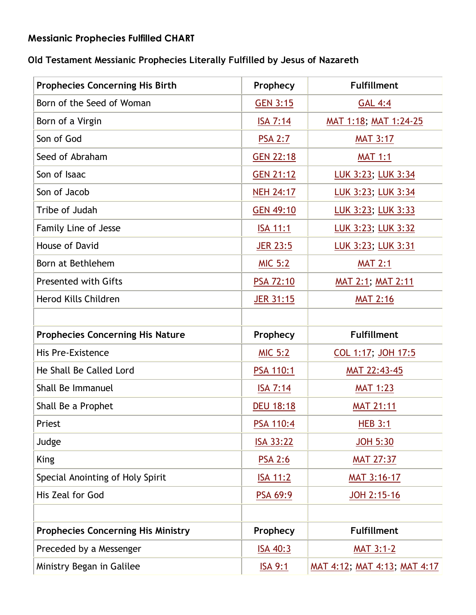## **Messianic Prophecies Fulfilled CHART**

## **Old Testament Messianic Prophecies Literally Fulfilled by Jesus of Nazareth**

| <b>Prophecies Concerning His Birth</b>    | Prophecy         | <b>Fulfillment</b>           |
|-------------------------------------------|------------------|------------------------------|
| Born of the Seed of Woman                 | <b>GEN 3:15</b>  | <b>GAL 4:4</b>               |
| Born of a Virgin                          | <b>ISA 7:14</b>  | MAT 1:18; MAT 1:24-25        |
| Son of God                                | <b>PSA 2:7</b>   | <b>MAT 3:17</b>              |
| Seed of Abraham                           | <b>GEN 22:18</b> | <b>MAT 1:1</b>               |
| Son of Isaac                              | <b>GEN 21:12</b> | LUK 3:23; LUK 3:34           |
| Son of Jacob                              | <b>NEH 24:17</b> | LUK 3:23; LUK 3:34           |
| Tribe of Judah                            | <b>GEN 49:10</b> | LUK 3:23; LUK 3:33           |
| Family Line of Jesse                      | <b>ISA 11:1</b>  | LUK 3:23; LUK 3:32           |
| House of David                            | <b>JER 23:5</b>  | LUK 3:23; LUK 3:31           |
| Born at Bethlehem                         | <b>MIC 5:2</b>   | <b>MAT 2:1</b>               |
| <b>Presented with Gifts</b>               | PSA 72:10        | <u>MAT 2:1; MAT 2:11</u>     |
| Herod Kills Children                      | JER 31:15        | <b>MAT 2:16</b>              |
|                                           |                  |                              |
| <b>Prophecies Concerning His Nature</b>   | Prophecy         | <b>Fulfillment</b>           |
| His Pre-Existence                         | <b>MIC 5:2</b>   | COL 1:17; JOH 17:5           |
| He Shall Be Called Lord                   | PSA 110:1        | MAT 22:43-45                 |
| Shall Be Immanuel                         | <b>ISA 7:14</b>  | <b>MAT 1:23</b>              |
| Shall Be a Prophet                        | <b>DEU 18:18</b> | <b>MAT 21:11</b>             |
| Priest                                    | <b>PSA 110:4</b> | <b>HEB 3:1</b>               |
| Judge                                     | ISA 33:22        | <b>JOH 5:30</b>              |
| <b>King</b>                               | <b>PSA 2:6</b>   | <b>MAT 27:37</b>             |
| Special Anointing of Holy Spirit          | <b>ISA 11:2</b>  | MAT 3:16-17                  |
| His Zeal for God                          | PSA 69:9         | JOH 2:15-16                  |
|                                           |                  |                              |
| <b>Prophecies Concerning His Ministry</b> | Prophecy         | <b>Fulfillment</b>           |
| Preceded by a Messenger                   | <b>ISA 40:3</b>  | <u>MAT 3:1-2</u>             |
| Ministry Began in Galilee                 | <u>ISA 9:1</u>   | MAT 4:12; MAT 4:13; MAT 4:17 |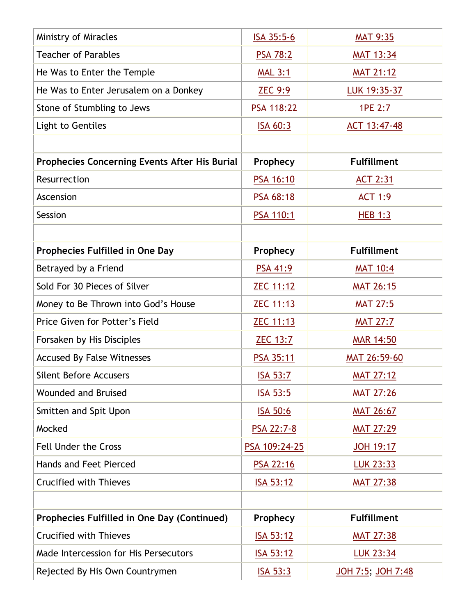| Ministry of Miracles                          | ISA 35:5-6       | <b>MAT 9:35</b>    |
|-----------------------------------------------|------------------|--------------------|
| <b>Teacher of Parables</b>                    | <b>PSA 78:2</b>  | <b>MAT 13:34</b>   |
| He Was to Enter the Temple                    | <b>MAL 3:1</b>   | <b>MAT 21:12</b>   |
| He Was to Enter Jerusalem on a Donkey         | <b>ZEC 9:9</b>   | LUK 19:35-37       |
| Stone of Stumbling to Jews                    | PSA 118:22       | 1PE 2:7            |
| Light to Gentiles                             | ISA 60:3         | ACT 13:47-48       |
|                                               |                  |                    |
| Prophecies Concerning Events After His Burial | Prophecy         | <b>Fulfillment</b> |
| Resurrection                                  | PSA 16:10        | <b>ACT 2:31</b>    |
| Ascension                                     | PSA 68:18        | <b>ACT 1:9</b>     |
| Session                                       | PSA 110:1        | <b>HEB 1:3</b>     |
|                                               |                  |                    |
| Prophecies Fulfilled in One Day               | Prophecy         | <b>Fulfillment</b> |
| Betrayed by a Friend                          | <b>PSA 41:9</b>  | <b>MAT 10:4</b>    |
| Sold For 30 Pieces of Silver                  | <b>ZEC 11:12</b> | <b>MAT 26:15</b>   |
| Money to Be Thrown into God's House           | <b>ZEC 11:13</b> | <b>MAT 27:5</b>    |
| Price Given for Potter's Field                | <b>ZEC 11:13</b> | <b>MAT 27:7</b>    |
| Forsaken by His Disciples                     | <b>ZEC 13:7</b>  | <b>MAR 14:50</b>   |
| <b>Accused By False Witnesses</b>             | PSA 35:11        | MAT 26:59-60       |
| <b>Silent Before Accusers</b>                 | <b>ISA 53:7</b>  | <b>MAT 27:12</b>   |
| <b>Wounded and Bruised</b>                    | <b>ISA 53:5</b>  | <b>MAT 27:26</b>   |
| Smitten and Spit Upon                         | <b>ISA 50:6</b>  | <b>MAT 26:67</b>   |
| Mocked                                        | PSA 22:7-8       | <b>MAT 27:29</b>   |
| <b>Fell Under the Cross</b>                   | PSA 109:24-25    | <b>JOH 19:17</b>   |
| Hands and Feet Pierced                        | PSA 22:16        | <b>LUK 23:33</b>   |
| <b>Crucified with Thieves</b>                 | <b>ISA 53:12</b> | <b>MAT 27:38</b>   |
|                                               |                  |                    |
| Prophecies Fulfilled in One Day (Continued)   | Prophecy         | <b>Fulfillment</b> |
| <b>Crucified with Thieves</b>                 | ISA 53:12        | <b>MAT 27:38</b>   |
| Made Intercession for His Persecutors         | <b>ISA 53:12</b> | <b>LUK 23:34</b>   |
| Rejected By His Own Countrymen                | <b>ISA 53:3</b>  | JOH 7:5; JOH 7:48  |